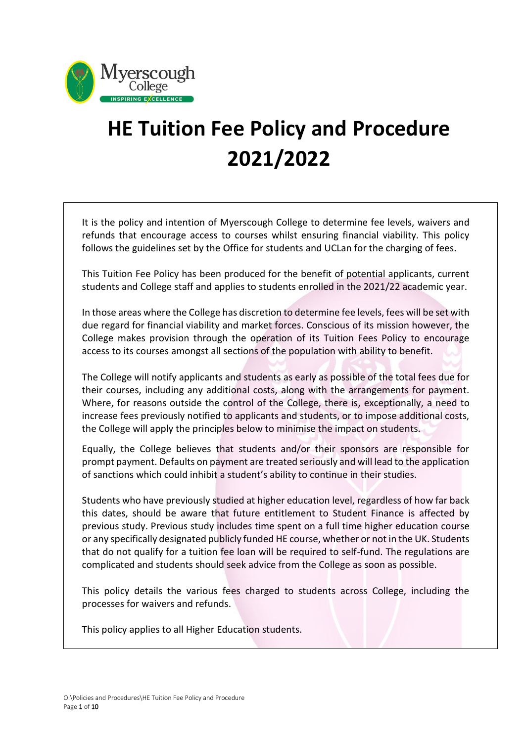

# **HE Tuition Fee Policy and Procedure 2021/2022**

It is the policy and intention of Myerscough College to determine fee levels, waivers and refunds that encourage access to courses whilst ensuring financial viability. This policy follows the guidelines set by the Office for students and UCLan for the charging of fees.

This Tuition Fee Policy has been produced for the benefit of potential applicants, current students and College staff and applies to students enrolled in the 2021/22 academic year.

In those areas where the College has discretion to determine fee levels, fees will be set with due regard for financial viability and market forces. Conscious of its mission however, the College makes provision through the operation of its Tuition Fees Policy to encourage access to its courses amongst all sections of the population with ability to benefit.

The College will notify applicants and students as early as possible of the total fees due for their courses, including any additional costs, along with the arrangements for payment. Where, for reasons outside the control of the College, there is, exceptionally, a need to increase fees previously notified to applicants and students, or to impose additional costs, the College will apply the principles below to minimise the impact on students.

Equally, the College believes that students and/or their sponsors are responsible for prompt payment. Defaults on payment are treated seriously and will lead to the application of sanctions which could inhibit a student's ability to continue in their studies.

Students who have previously studied at higher education level, regardless of how far back this dates, should be aware that future entitlement to Student Finance is affected by previous study. Previous study includes time spent on a full time higher education course or any specifically designated publicly funded HE course, whether or not in the UK. Students that do not qualify for a tuition fee loan will be required to self-fund. The regulations are complicated and students should seek advice from the College as soon as possible.

This policy details the various fees charged to students across College, including the processes for waivers and refunds.

This policy applies to all Higher Education students.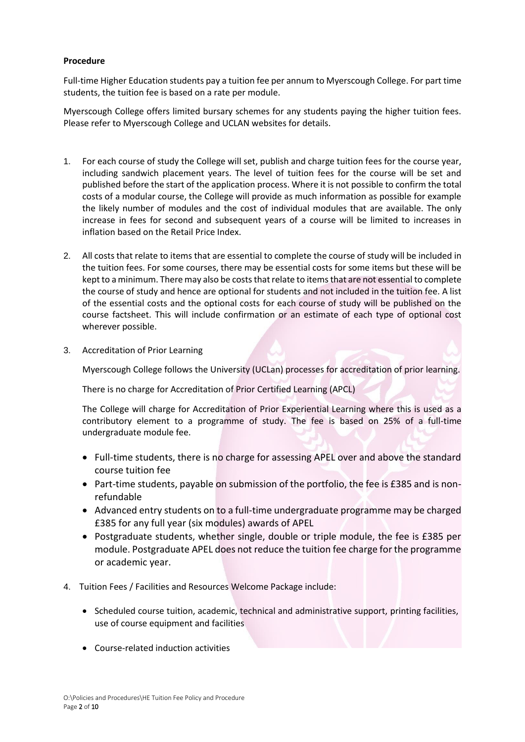## **Procedure**

Full-time Higher Education students pay a tuition fee per annum to Myerscough College. For part time students, the tuition fee is based on a rate per module.

Myerscough College offers limited bursary schemes for any students paying the higher tuition fees. Please refer to Myerscough College and UCLAN websites for details.

- 1. For each course of study the College will set, publish and charge tuition fees for the course year, including sandwich placement years. The level of tuition fees for the course will be set and published before the start of the application process. Where it is not possible to confirm the total costs of a modular course, the College will provide as much information as possible for example the likely number of modules and the cost of individual modules that are available. The only increase in fees for second and subsequent years of a course will be limited to increases in inflation based on the Retail Price Index.
- 2. All costs that relate to items that are essential to complete the course of study will be included in the tuition fees. For some courses, there may be essential costs for some items but these will be kept to a minimum. There may also be costs that relate to items that are not essential to complete the course of study and hence are optional for students and not included in the tuition fee. A list of the essential costs and the optional costs for each course of study will be published on the course factsheet. This will include confirmation or an estimate of each type of optional cost wherever possible.
- 3. Accreditation of Prior Learning

Myerscough College follows the University (UCLan) processes for accreditation of prior learning.

There is no charge for Accreditation of Prior Certified Learning (APCL)

The College will charge for Accreditation of Prior Experiential Learning where this is used as a contributory element to a programme of study. The fee is based on 25% of a full-time undergraduate module fee.

- Full-time students, there is no charge for assessing APEL over and above the standard course tuition fee
- Part-time students, payable on submission of the portfolio, the fee is £385 and is nonrefundable
- Advanced entry students on to a full-time undergraduate programme may be charged £385 for any full year (six modules) awards of APEL
- Postgraduate students, whether single, double or triple module, the fee is £385 per module. Postgraduate APEL does not reduce the tuition fee charge for the programme or academic year.
- 4. Tuition Fees / Facilities and Resources Welcome Package include:
	- Scheduled course tuition, academic, technical and administrative support, printing facilities, use of course equipment and facilities
	- Course-related induction activities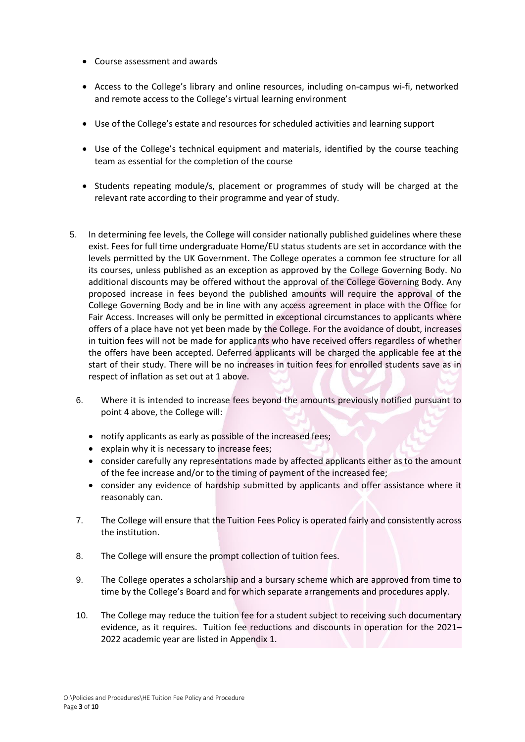- Course assessment and awards
- Access to the College's library and online resources, including on-campus wi-fi, networked and remote access to the College's virtual learning environment
- Use of the College's estate and resources for scheduled activities and learning support
- Use of the College's technical equipment and materials, identified by the course teaching team as essential for the completion of the course
- Students repeating module/s, placement or programmes of study will be charged at the relevant rate according to their programme and year of study.
- 5. In determining fee levels, the College will consider nationally published guidelines where these exist. Fees for full time undergraduate Home/EU status students are set in accordance with the levels permitted by the UK Government. The College operates a common fee structure for all its courses, unless published as an exception as approved by the College Governing Body. No additional discounts may be offered without the approval of the College Governing Body. Any proposed increase in fees beyond the published amounts will require the approval of the College Governing Body and be in line with any access agreement in place with the Office for Fair Access. Increases will only be permitted in exceptional circumstances to applicants where offers of a place have not yet been made by the College. For the avoidance of doubt, increases in tuition fees will not be made for applicants who have received offers regardless of whether the offers have been accepted. Deferred applicants will be charged the applicable fee at the start of their study. There will be no increases in tuition fees for enrolled students save as in respect of inflation as set out at 1 above.
	- 6. Where it is intended to increase fees beyond the amounts previously notified pursuant to point 4 above, the College will:
		- notify applicants as early as possible of the increased fees;
		- explain why it is necessary to increase fees;
		- consider carefully any representations made by affected applicants either as to the amount of the fee increase and/or to the timing of payment of the increased fee;
		- consider any evidence of hardship submitted by applicants and offer assistance where it reasonably can.
	- 7. The College will ensure that the Tuition Fees Policy is operated fairly and consistently across the institution.
	- 8. The College will ensure the prompt collection of tuition fees.
	- 9. The College operates a scholarship and a bursary scheme which are approved from time to time by the College's Board and for which separate arrangements and procedures apply.
	- 10. The College may reduce the tuition fee for a student subject to receiving such documentary evidence, as it requires. Tuition fee reductions and discounts in operation for the 2021– 2022 academic year are listed in Appendix 1.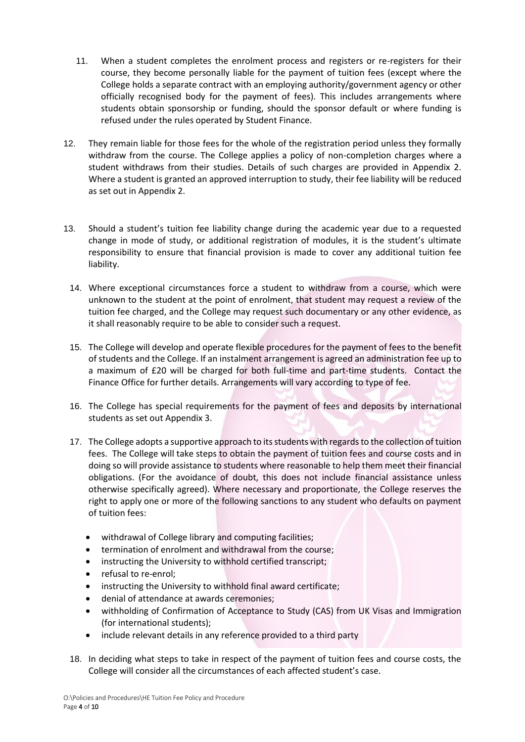- 11. When a student completes the enrolment process and registers or re-registers for their course, they become personally liable for the payment of tuition fees (except where the College holds a separate contract with an employing authority/government agency or other officially recognised body for the payment of fees). This includes arrangements where students obtain sponsorship or funding, should the sponsor default or where funding is refused under the rules operated by Student Finance.
- 12. They remain liable for those fees for the whole of the registration period unless they formally withdraw from the course. The College applies a policy of non-completion charges where a student withdraws from their studies. Details of such charges are provided in Appendix 2. Where a student is granted an approved interruption to study, their fee liability will be reduced as set out in Appendix 2.
- 13. Should a student's tuition fee liability change during the academic year due to a requested change in mode of study, or additional registration of modules, it is the student's ultimate responsibility to ensure that financial provision is made to cover any additional tuition fee liability.
	- 14. Where exceptional circumstances force a student to withdraw from a course, which were unknown to the student at the point of enrolment, that student may request a review of the tuition fee charged, and the College may request such documentary or any other evidence, as it shall reasonably require to be able to consider such a request.
	- 15. The College will develop and operate flexible procedures for the payment of fees to the benefit of students and the College. If an instalment arrangement is agreed an administration fee up to a maximum of £20 will be charged for both full-time and part-time students. Contact the Finance Office for further details. Arrangements will vary according to type of fee.
	- 16. The College has special requirements for the payment of fees and deposits by international students as set out Appendix 3.
	- 17. The College adopts a supportive approach to its students with regards to the collection of tuition fees. The College will take steps to obtain the payment of tuition fees and course costs and in doing so will provide assistance to students where reasonable to help them meet their financial obligations. (For the avoidance of doubt, this does not include financial assistance unless otherwise specifically agreed). Where necessary and proportionate, the College reserves the right to apply one or more of the following sanctions to any student who defaults on payment of tuition fees:
		- withdrawal of College library and computing facilities;
		- termination of enrolment and withdrawal from the course;
		- instructing the University to withhold certified transcript;
		- refusal to re-enrol;
		- instructing the University to withhold final award certificate:
		- denial of attendance at awards ceremonies;
		- withholding of Confirmation of Acceptance to Study (CAS) from UK Visas and Immigration (for international students);
		- include relevant details in any reference provided to a third party
	- 18. In deciding what steps to take in respect of the payment of tuition fees and course costs, the College will consider all the circumstances of each affected student's case.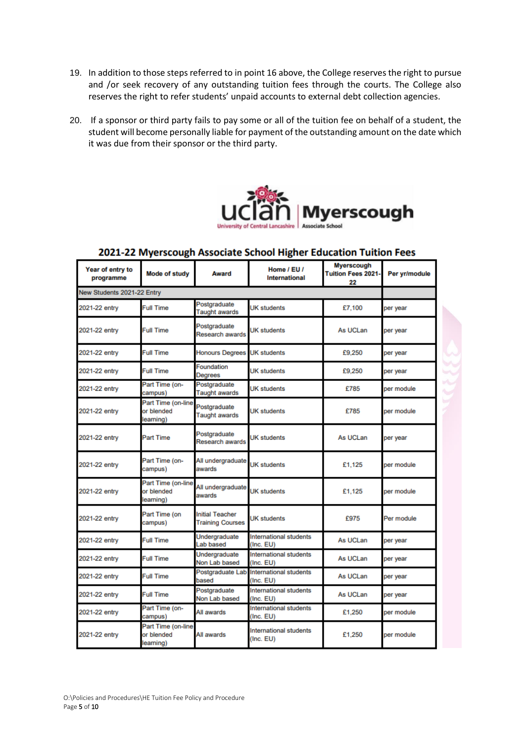- 19. In addition to those steps referred to in point 16 above, the College reserves the right to pursue and /or seek recovery of any outstanding tuition fees through the courts. The College also reserves the right to refer students' unpaid accounts to external debt collection agencies.
- 20. If a sponsor or third party fails to pay some or all of the tuition fee on behalf of a student, the student will become personally liable for payment of the outstanding amount on the date which it was due from their sponsor or the third party.



| Year of entry to<br>programme | <b>Mode of study</b>                          | <b>Award</b>                                      | Home / EU /<br>International        | <b>Myerscough</b><br><b>Tuition Fees 2021-</b><br>22 | Per yr/module |
|-------------------------------|-----------------------------------------------|---------------------------------------------------|-------------------------------------|------------------------------------------------------|---------------|
| New Students 2021-22 Entry    |                                               |                                                   |                                     |                                                      |               |
| 2021-22 entry                 | <b>Full Time</b>                              | Postgraduate<br><b>Taught awards</b>              | <b>UK</b> students                  | £7,100                                               | per year      |
| 2021-22 entry                 | <b>Full Time</b>                              | Postgraduate<br>Research awards                   | UK students                         | As UCLan                                             | per year      |
| 2021-22 entry                 | Full Time                                     | <b>Honours Degrees</b>                            | <b>UK</b> students                  | £9.250                                               | per year      |
| 2021-22 entry                 | Full Time                                     | Foundation<br><b>Degrees</b>                      | UK students                         | £9.250                                               | per year      |
| 2021-22 entry                 | Part Time (on-<br>campus)                     | Postgraduate<br><b>Taught awards</b>              | <b>UK students</b>                  | £785                                                 | per module    |
| 2021-22 entry                 | Part Time (on-line<br>or blended<br>learning) | Postgraduate<br><b>Taught awards</b>              | <b>UK</b> students                  | £785                                                 | per module    |
| 2021-22 entry                 | <b>Part Time</b>                              | Postgraduate<br>Research awards                   | <b>UK</b> students                  | As UCLan                                             | per year      |
| 2021-22 entry                 | Part Time (on-<br>campus)                     | All undergraduate<br>awards                       | <b>UK</b> students                  | £1.125                                               | per module    |
| 2021-22 entry                 | Part Time (on-line<br>or blended<br>learning) | All undergraduate<br>awards                       | <b>UK students</b>                  | £1.125                                               | per module    |
| 2021-22 entry                 | Part Time (on<br>campus)                      | <b>Initial Teacher</b><br><b>Training Courses</b> | <b>UK</b> students                  | £975                                                 | Per module    |
| 2021-22 entry                 | Full Time                                     | Undergraduate<br>Lab based                        | International students<br>(Inc. EU) | As UCLan                                             | per year      |
| 2021-22 entry                 | <b>Full Time</b>                              | Undergraduate<br>Non Lab based                    | International students<br>(Inc, EU) | As UCLan                                             | per year      |
| 2021-22 entry                 | Full Time                                     | Postgraduate Lab<br>based                         | International students<br>(Inc. EU) | As UCLan                                             | per year      |
| 2021-22 entry                 | Full Time                                     | Postgraduate<br>Non Lab based                     | International students<br>(Inc. EU) | As UCLan                                             | per year      |
| 2021-22 entry                 | Part Time (on-<br>campus)                     | All awards                                        | International students<br>(Inc. EU) | £1.250                                               | per module    |
| 2021-22 entry                 | Part Time (on-line<br>or blended<br>learning) | All awards                                        | International students<br>(Inc. EU) | £1,250                                               | per module    |

## 2021-22 Myerscough Associate School Higher Education Tuition Fees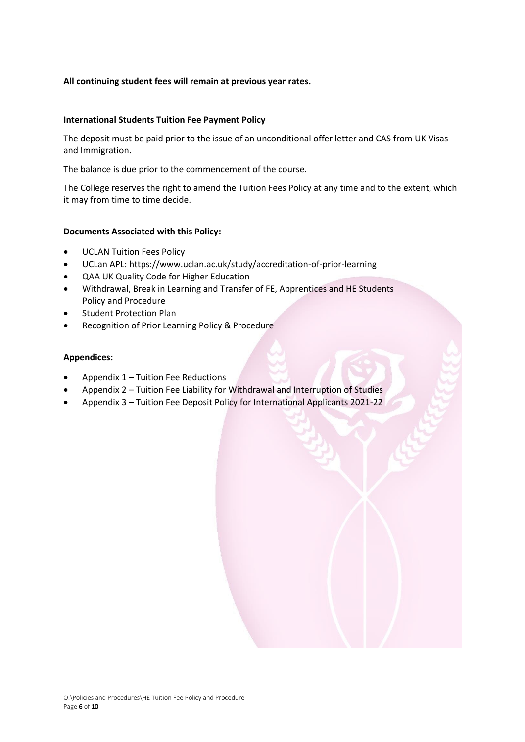## **All continuing student fees will remain at previous year rates.**

## **International Students Tuition Fee Payment Policy**

The deposit must be paid prior to the issue of an unconditional offer letter and CAS from UK Visas and Immigration.

The balance is due prior to the commencement of the course.

The College reserves the right to amend the Tuition Fees Policy at any time and to the extent, which it may from time to time decide.

## **Documents Associated with this Policy:**

- UCLAN Tuition Fees Policy
- UCLan APL: https://www.uclan.ac.uk/study/accreditation-of-prior-learning
- QAA UK Quality Code for Higher Education
- Withdrawal, Break in Learning and Transfer of FE, Apprentices and HE Students Policy and Procedure
- **Student Protection Plan**
- Recognition of Prior Learning Policy & Procedure

### **Appendices:**

- Appendix 1 Tuition Fee Reductions
- Appendix 2 Tuition Fee Liability for Withdrawal and Interruption of Studies
- Appendix 3 Tuition Fee Deposit Policy for International Applicants 2021-22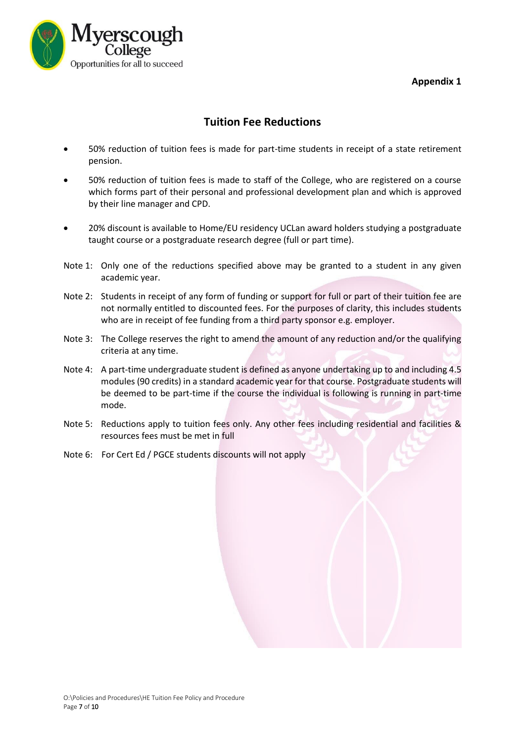## **Appendix 1**



## **Tuition Fee Reductions**

- 50% reduction of tuition fees is made for part-time students in receipt of a state retirement pension.
- 50% reduction of tuition fees is made to staff of the College, who are registered on a course which forms part of their personal and professional development plan and which is approved by their line manager and CPD.
- 20% discount is available to Home/EU residency UCLan award holders studying a postgraduate taught course or a postgraduate research degree (full or part time).
- Note 1: Only one of the reductions specified above may be granted to a student in any given academic year.
- Note 2: Students in receipt of any form of funding or support for full or part of their tuition fee are not normally entitled to discounted fees. For the purposes of clarity, this includes students who are in receipt of fee funding from a third party sponsor e.g. employer.
- Note 3: The College reserves the right to amend the amount of any reduction and/or the qualifying criteria at any time.
- Note 4: A part-time undergraduate student is defined as anyone undertaking up to and including 4.5 modules (90 credits) in a standard academic year for that course. Postgraduate students will be deemed to be part-time if the course the individual is following is running in part-time mode.
- Note 5: Reductions apply to tuition fees only. Any other fees including residential and facilities & resources fees must be met in full
- Note 6: For Cert Ed / PGCE students discounts will not apply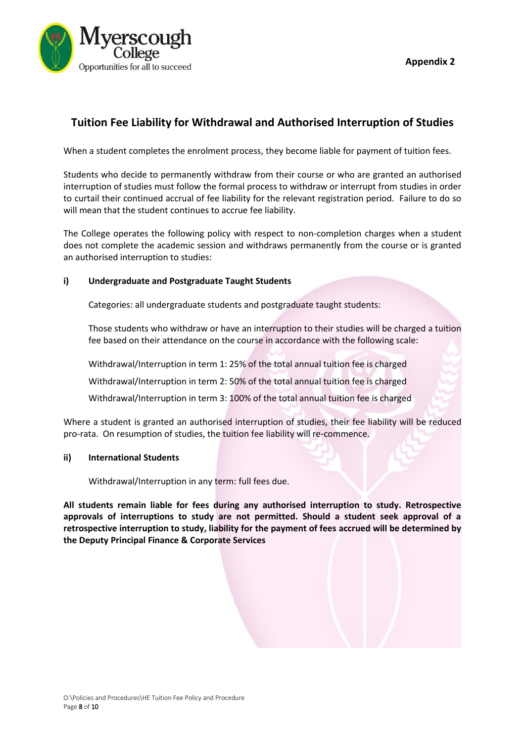

**Appendix 2**

## **Tuition Fee Liability for Withdrawal and Authorised Interruption of Studies**

When a student completes the enrolment process, they become liable for payment of tuition fees.

Students who decide to permanently withdraw from their course or who are granted an authorised interruption of studies must follow the formal process to withdraw or interrupt from studies in order to curtail their continued accrual of fee liability for the relevant registration period. Failure to do so will mean that the student continues to accrue fee liability.

The College operates the following policy with respect to non-completion charges when a student does not complete the academic session and withdraws permanently from the course or is granted an authorised interruption to studies:

## **i) Undergraduate and Postgraduate Taught Students**

Categories: all undergraduate students and postgraduate taught students:

Those students who withdraw or have an interruption to their studies will be charged a tuition fee based on their attendance on the course in accordance with the following scale:

Withdrawal/Interruption in term 1: 25% of the total annual tuition fee is charged

Withdrawal/Interruption in term 2: 50% of the total annual tuition fee is charged

Withdrawal/Interruption in term 3: 100% of the total annual tuition fee is charged

Where a student is granted an authorised interruption of studies, their fee liability will be reduced pro-rata. On resumption of studies, the tuition fee liability will re-commence.

## **ii) International Students**

Withdrawal/Interruption in any term: full fees due.

**All students remain liable for fees during any authorised interruption to study. Retrospective approvals of interruptions to study are not permitted. Should a student seek approval of a retrospective interruption to study, liability for the payment of fees accrued will be determined by the Deputy Principal Finance & Corporate Services**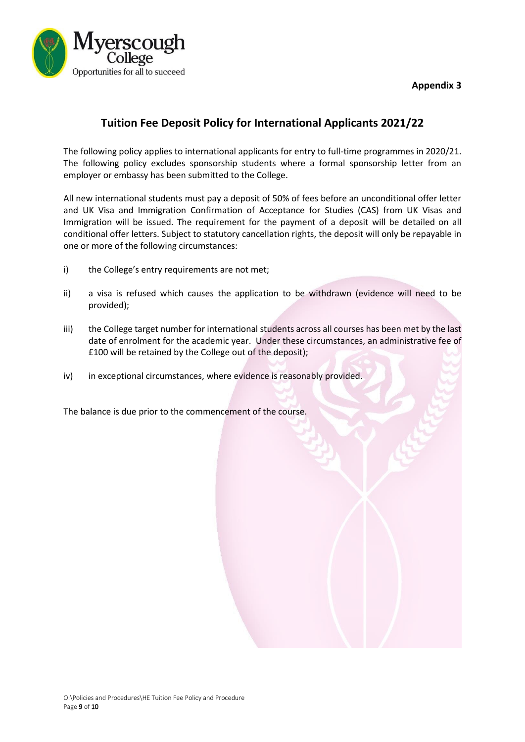**Appendix 3**



# **Tuition Fee Deposit Policy for International Applicants 2021/22**

The following policy applies to international applicants for entry to full‐time programmes in 2020/21. The following policy excludes sponsorship students where a formal sponsorship letter from an employer or embassy has been submitted to the College.

All new international students must pay a deposit of 50% of fees before an unconditional offer letter and UK Visa and Immigration Confirmation of Acceptance for Studies (CAS) from UK Visas and Immigration will be issued. The requirement for the payment of a deposit will be detailed on all conditional offer letters. Subject to statutory cancellation rights, the deposit will only be repayable in one or more of the following circumstances:

- i) the College's entry requirements are not met;
- ii) a visa is refused which causes the application to be withdrawn (evidence will need to be provided);
- iii) the College target number for international students across all courses has been met by the last date of enrolment for the academic year. Under these circumstances, an administrative fee of £100 will be retained by the College out of the deposit);
- iv) in exceptional circumstances, where evidence is reasonably provided.

The balance is due prior to the commencement of the course.